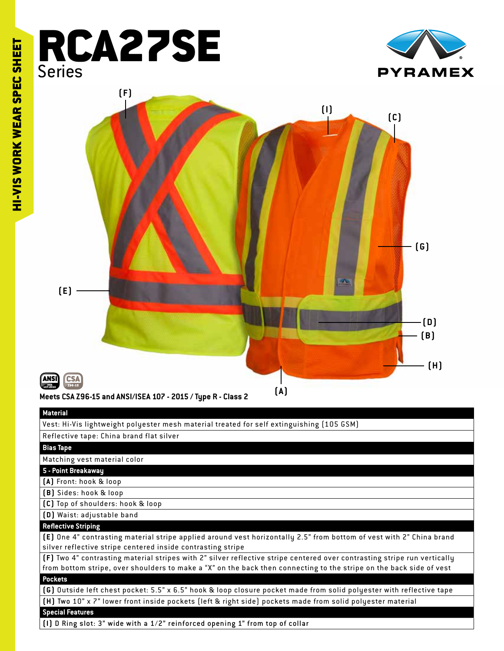# RCA27SE Series





#### **Material**

Vest: Hi-Vis lightweight polyester mesh material treated for self extinguishing (105 GSM)

#### Reflective tape: China brand flat silver

#### **Bias Tape**

Matching vest material color

### **5 - Point Breakaway**

**(A)** Front: hook & loop

**(B)** Sides: hook & loop

**(C)** Top of shoulders: hook & loop

**(D)** Waist: adjustable band

## **Reflective Striping**

**(E)** One 4" contrasting material stripe applied around vest horizontally 2.5" from bottom of vest with 2" China brand silver reflective stripe centered inside contrasting stripe

**(F)** Two 4" contrasting material stripes with 2" silver reflective stripe centered over contrasting stripe run ver tically from bottom stripe, over shoulders to make a "X" on the back then connecting to the stripe on the back side of vest **Pockets**

**(G)** Outside left chest pocket: 5.5" x 6.5" hook & loop closure pocket made from solid polyester with reflective tape **(H)** Two 10" x 7" lower front inside pockets (left & right side) pockets made from solid polyester material **Special Features**

**(I)** D Ring slot: 3" wide with a 1/2" reinforced opening 1" from top of collar